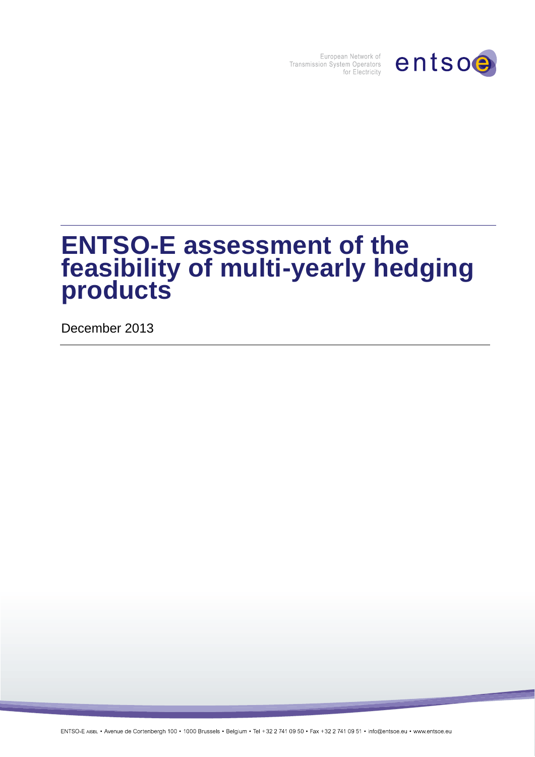

European Network of<br>Transmission System Operators<br>for Electricity

# **ENTSO-E assessment of the feasibility of multi-yearly hedging products**

December 2013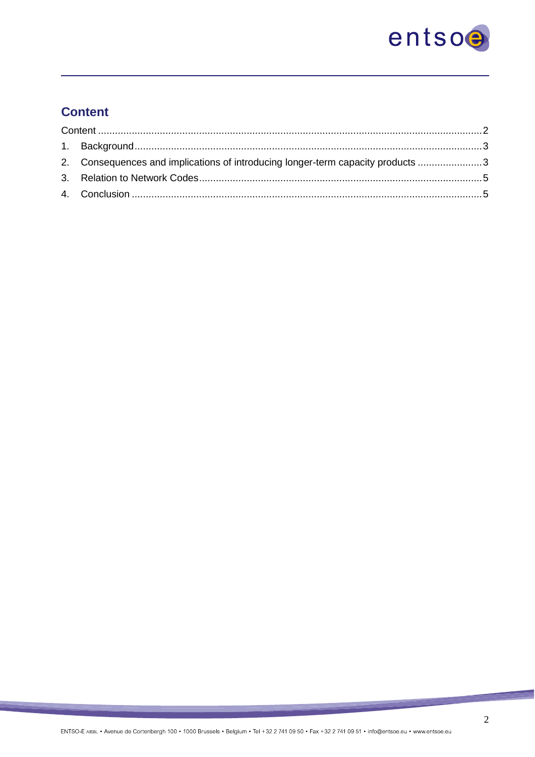

## **Content**

| 2. Consequences and implications of introducing longer-term capacity products 3 |  |
|---------------------------------------------------------------------------------|--|
|                                                                                 |  |
|                                                                                 |  |

<u>ang </u>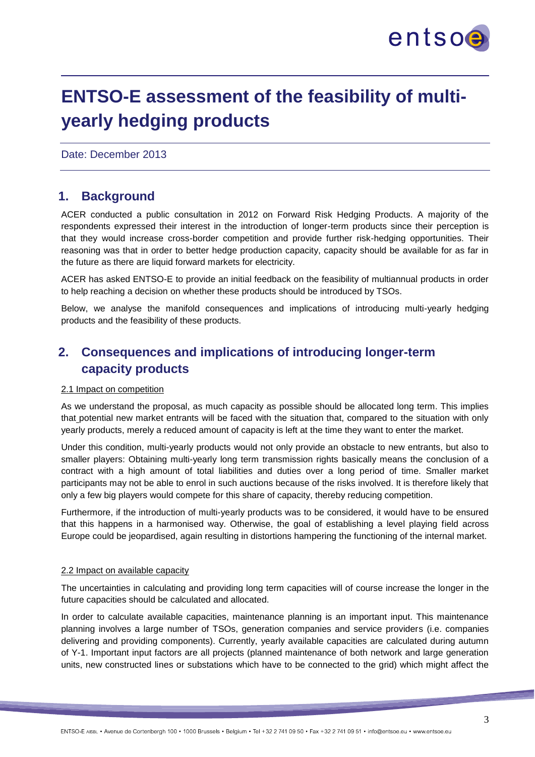

## **ENTSO-E assessment of the feasibility of multiyearly hedging products**

Date: December 2013

## **1. Background**

ACER conducted a public consultation in 2012 on Forward Risk Hedging Products. A majority of the respondents expressed their interest in the introduction of longer-term products since their perception is that they would increase cross-border competition and provide further risk-hedging opportunities. Their reasoning was that in order to better hedge production capacity, capacity should be available for as far in the future as there are liquid forward markets for electricity.

ACER has asked ENTSO-E to provide an initial feedback on the feasibility of multiannual products in order to help reaching a decision on whether these products should be introduced by TSOs.

Below, we analyse the manifold consequences and implications of introducing multi-yearly hedging products and the feasibility of these products.

## **2. Consequences and implications of introducing longer-term capacity products**

#### 2.1 Impact on competition

As we understand the proposal, as much capacity as possible should be allocated long term. This implies that potential new market entrants will be faced with the situation that, compared to the situation with only yearly products, merely a reduced amount of capacity is left at the time they want to enter the market.

Under this condition, multi-yearly products would not only provide an obstacle to new entrants, but also to smaller players: Obtaining multi-yearly long term transmission rights basically means the conclusion of a contract with a high amount of total liabilities and duties over a long period of time. Smaller market participants may not be able to enrol in such auctions because of the risks involved. It is therefore likely that only a few big players would compete for this share of capacity, thereby reducing competition.

Furthermore, if the introduction of multi-yearly products was to be considered, it would have to be ensured that this happens in a harmonised way. Otherwise, the goal of establishing a level playing field across Europe could be jeopardised, again resulting in distortions hampering the functioning of the internal market.

#### 2.2 Impact on available capacity

The uncertainties in calculating and providing long term capacities will of course increase the longer in the future capacities should be calculated and allocated.

In order to calculate available capacities, maintenance planning is an important input. This maintenance planning involves a large number of TSOs, generation companies and service providers (i.e. companies delivering and providing components). Currently, yearly available capacities are calculated during autumn of Y-1. Important input factors are all projects (planned maintenance of both network and large generation units, new constructed lines or substations which have to be connected to the grid) which might affect the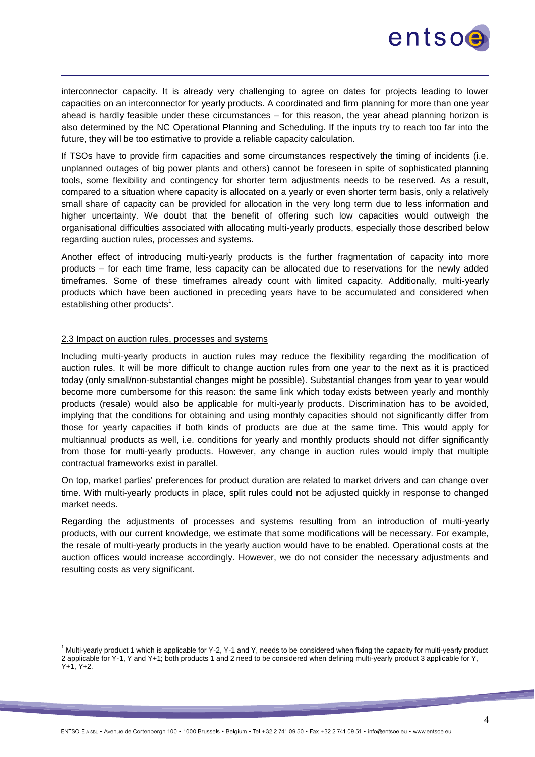

interconnector capacity. It is already very challenging to agree on dates for projects leading to lower capacities on an interconnector for yearly products. A coordinated and firm planning for more than one year ahead is hardly feasible under these circumstances – for this reason, the year ahead planning horizon is also determined by the NC Operational Planning and Scheduling. If the inputs try to reach too far into the future, they will be too estimative to provide a reliable capacity calculation.

If TSOs have to provide firm capacities and some circumstances respectively the timing of incidents (i.e. unplanned outages of big power plants and others) cannot be foreseen in spite of sophisticated planning tools, some flexibility and contingency for shorter term adjustments needs to be reserved. As a result, compared to a situation where capacity is allocated on a yearly or even shorter term basis, only a relatively small share of capacity can be provided for allocation in the very long term due to less information and higher uncertainty. We doubt that the benefit of offering such low capacities would outweigh the organisational difficulties associated with allocating multi-yearly products, especially those described below regarding auction rules, processes and systems.

Another effect of introducing multi-yearly products is the further fragmentation of capacity into more products – for each time frame, less capacity can be allocated due to reservations for the newly added timeframes. Some of these timeframes already count with limited capacity. Additionally, multi-yearly products which have been auctioned in preceding years have to be accumulated and considered when establishing other products<sup>1</sup>.

#### 2.3 Impact on auction rules, processes and systems

Including multi-yearly products in auction rules may reduce the flexibility regarding the modification of auction rules. It will be more difficult to change auction rules from one year to the next as it is practiced today (only small/non-substantial changes might be possible). Substantial changes from year to year would become more cumbersome for this reason: the same link which today exists between yearly and monthly products (resale) would also be applicable for multi-yearly products. Discrimination has to be avoided, implying that the conditions for obtaining and using monthly capacities should not significantly differ from those for yearly capacities if both kinds of products are due at the same time. This would apply for multiannual products as well, i.e. conditions for yearly and monthly products should not differ significantly from those for multi-yearly products. However, any change in auction rules would imply that multiple contractual frameworks exist in parallel.

On top, market parties' preferences for product duration are related to market drivers and can change over time. With multi-yearly products in place, split rules could not be adjusted quickly in response to changed market needs.

Regarding the adjustments of processes and systems resulting from an introduction of multi-yearly products, with our current knowledge, we estimate that some modifications will be necessary. For example, the resale of multi-yearly products in the yearly auction would have to be enabled. Operational costs at the auction offices would increase accordingly. However, we do not consider the necessary adjustments and resulting costs as very significant.

<sup>1</sup> Multi-yearly product 1 which is applicable for Y-2, Y-1 and Y, needs to be considered when fixing the capacity for multi-yearly product 2 applicable for Y-1, Y and Y+1; both products 1 and 2 need to be considered when defining multi-yearly product 3 applicable for Y,  $Y+1. Y+2.$